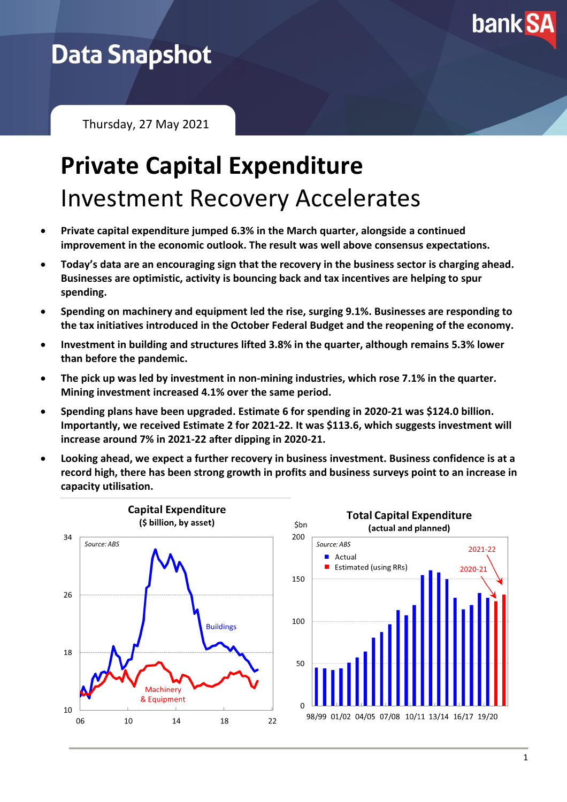

## **Data Snapshot**

Thursday, 27 May 2021

# **Private Capital Expenditure** Investment Recovery Accelerates

- **Private capital expenditure jumped 6.3% in the March quarter, alongside a continued improvement in the economic outlook. The result was well above consensus expectations.**
- **Today's data are an encouraging sign that the recovery in the business sector is charging ahead. Businesses are optimistic, activity is bouncing back and tax incentives are helping to spur spending.**
- **Spending on machinery and equipment led the rise, surging 9.1%. Businesses are responding to the tax initiatives introduced in the October Federal Budget and the reopening of the economy.**
- **Investment in building and structures lifted 3.8% in the quarter, although remains 5.3% lower than before the pandemic.**
- **The pick up was led by investment in non-mining industries, which rose 7.1% in the quarter. Mining investment increased 4.1% over the same period.**
- **Spending plans have been upgraded. Estimate 6 for spending in 2020-21 was \$124.0 billion. Importantly, we received Estimate 2 for 2021-22. It was \$113.6, which suggests investment will increase around 7% in 2021-22 after dipping in 2020-21.**
- **Looking ahead, we expect a further recovery in business investment. Business confidence is at a record high, there has been strong growth in profits and business surveys point to an increase in capacity utilisation.**



2021-22

2020-2: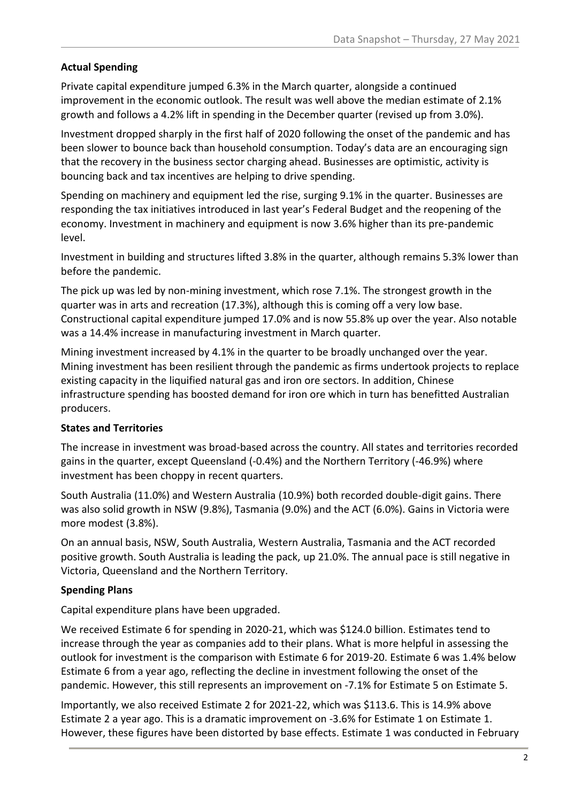#### **Actual Spending**

Private capital expenditure jumped 6.3% in the March quarter, alongside a continued improvement in the economic outlook. The result was well above the median estimate of 2.1% growth and follows a 4.2% lift in spending in the December quarter (revised up from 3.0%).

Investment dropped sharply in the first half of 2020 following the onset of the pandemic and has been slower to bounce back than household consumption. Today's data are an encouraging sign that the recovery in the business sector charging ahead. Businesses are optimistic, activity is bouncing back and tax incentives are helping to drive spending.

Spending on machinery and equipment led the rise, surging 9.1% in the quarter. Businesses are responding the tax initiatives introduced in last year's Federal Budget and the reopening of the economy. Investment in machinery and equipment is now 3.6% higher than its pre-pandemic level.

Investment in building and structures lifted 3.8% in the quarter, although remains 5.3% lower than before the pandemic.

The pick up was led by non-mining investment, which rose 7.1%. The strongest growth in the quarter was in arts and recreation (17.3%), although this is coming off a very low base. Constructional capital expenditure jumped 17.0% and is now 55.8% up over the year. Also notable was a 14.4% increase in manufacturing investment in March quarter.

Mining investment increased by 4.1% in the quarter to be broadly unchanged over the year. Mining investment has been resilient through the pandemic as firms undertook projects to replace existing capacity in the liquified natural gas and iron ore sectors. In addition, Chinese infrastructure spending has boosted demand for iron ore which in turn has benefitted Australian producers.

#### **States and Territories**

The increase in investment was broad-based across the country. All states and territories recorded gains in the quarter, except Queensland (-0.4%) and the Northern Territory (-46.9%) where investment has been choppy in recent quarters.

South Australia (11.0%) and Western Australia (10.9%) both recorded double-digit gains. There was also solid growth in NSW (9.8%), Tasmania (9.0%) and the ACT (6.0%). Gains in Victoria were more modest (3.8%).

On an annual basis, NSW, South Australia, Western Australia, Tasmania and the ACT recorded positive growth. South Australia is leading the pack, up 21.0%. The annual pace is still negative in Victoria, Queensland and the Northern Territory.

#### **Spending Plans**

Capital expenditure plans have been upgraded.

We received Estimate 6 for spending in 2020-21, which was \$124.0 billion. Estimates tend to increase through the year as companies add to their plans. What is more helpful in assessing the outlook for investment is the comparison with Estimate 6 for 2019-20. Estimate 6 was 1.4% below Estimate 6 from a year ago, reflecting the decline in investment following the onset of the pandemic. However, this still represents an improvement on -7.1% for Estimate 5 on Estimate 5.

Importantly, we also received Estimate 2 for 2021-22, which was \$113.6. This is 14.9% above Estimate 2 a year ago. This is a dramatic improvement on -3.6% for Estimate 1 on Estimate 1. However, these figures have been distorted by base effects. Estimate 1 was conducted in February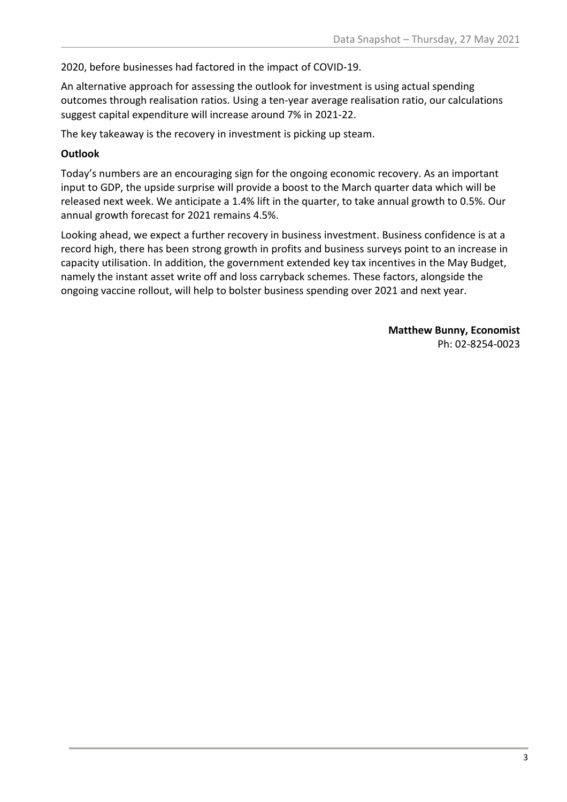2020, before businesses had factored in the impact of COVID-19.

An alternative approach for assessing the outlook for investment is using actual spending outcomes through realisation ratios. Using a ten-year average realisation ratio, our calculations suggest capital expenditure will increase around 7% in 2021-22.

The key takeaway is the recovery in investment is picking up steam.

#### **Outlook**

Today's numbers are an encouraging sign for the ongoing economic recovery. As an important input to GDP, the upside surprise will provide a boost to the March quarter data which will be released next week. We anticipate a 1.4% lift in the quarter, to take annual growth to 0.5%. Our annual growth forecast for 2021 remains 4.5%.

Looking ahead, we expect a further recovery in business investment. Business confidence is at a record high, there has been strong growth in profits and business surveys point to an increase in capacity utilisation. In addition, the government extended key tax incentives in the May Budget, namely the instant asset write off and loss carryback schemes. These factors, alongside the ongoing vaccine rollout, will help to bolster business spending over 2021 and next year.

> **Matthew Bunny, Economist** Ph: 02-8254-0023